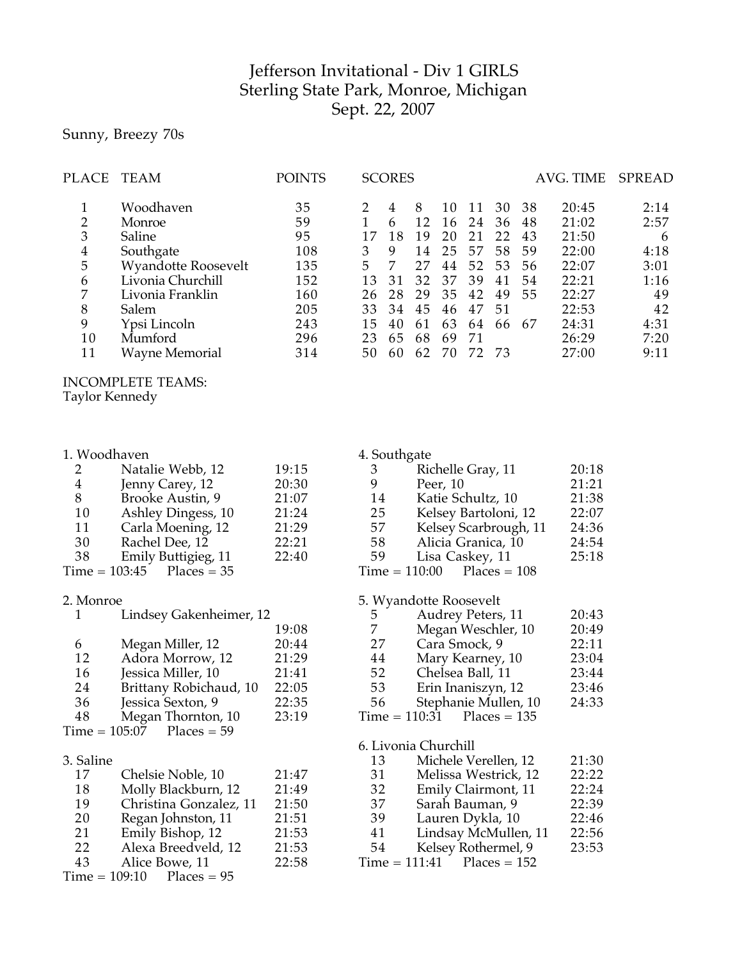## Jefferson Invitational - Div 1 GIRLS Sterling State Park, Monroe, Michigan Sept. 22, 2007

# Sunny, Breezy 70s

| PLACE          | TEAM                       | <b>POINTS</b> |    | <b>SCORES</b> |    |    |    |      |    | AVG. TIME | <b>SPREAD</b> |
|----------------|----------------------------|---------------|----|---------------|----|----|----|------|----|-----------|---------------|
|                | Woodhaven                  | 35            |    | 4             | 8  | 10 | 11 | 30   | 38 | 20:45     | 2:14          |
| 2              | Monroe                     | 59            |    | 6             | 12 | 16 | 24 | 36   | 48 | 21:02     | 2:57          |
| 3              | Saline                     | 95            | 17 | 18            | 19 | 20 | 21 | 22   | 43 | 21:50     | 6             |
| $\overline{4}$ | Southgate                  | 108           |    | 9             | 14 | 25 | 57 | 58   | 59 | 22:00     | 4:18          |
| 5              | <b>Wyandotte Roosevelt</b> | 135           | 5. | 7             | 27 | 44 | 52 | 53   | 56 | 22:07     | 3:01          |
| 6              | Livonia Churchill          | 152           | 13 | 31            | 32 | 37 | 39 | 41   | 54 | 22:21     | 1:16          |
| 7              | Livonia Franklin           | 160           | 26 | 28            | 29 | 35 | 42 | 49   | 55 | 22:27     | 49            |
| 8              | Salem                      | 205           | 33 | 34            | 45 | 46 | 47 | 51   |    | 22:53     | 42            |
| 9              | Ypsi Lincoln               | 243           | 15 | 40            | 61 | 63 | 64 | 66   | 67 | 24:31     | 4:31          |
| 10             | Mumford                    | 296           | 23 | 65            | 68 | 69 | 71 |      |    | 26:29     | 7:20          |
| 11             | <b>Wayne Memorial</b>      | 314           | 50 | 60            | 62 | 70 | 72 | - 73 |    | 27:00     | 9:11          |
|                |                            |               |    |               |    |    |    |      |    |           |               |

## INCOMPLETE TEAMS:

Taylor Kennedy

|                | 1. Woodhaven                |       | 4. Southgate |                              |       |
|----------------|-----------------------------|-------|--------------|------------------------------|-------|
|                | Natalie Webb, 12            | 19:15 | 3            | Richelle Gray, 11            | 20:18 |
| $\overline{4}$ | Jenny Carey, 12             | 20:30 | 9            | Peer, 10                     | 21:21 |
| 8              | Brooke Austin, 9            | 21:07 | 14           | Katie Schultz, 10            | 21:38 |
| 10             | Ashley Dingess, 10          | 21:24 | 25           | Kelsey Bartoloni, 12         | 22:07 |
| 11             | Carla Moening, 12           | 21:29 | 57           | Kelsey Scarbrough, 11        | 24:36 |
| 30             | Rachel Dee, 12              | 22:21 | 58           | Alicia Granica, 10           | 24:54 |
| 38             | Emily Buttigieg, 11         | 22:40 | 59           | Lisa Caskey, 11              | 25:18 |
|                | $Time = 103:45$ Places = 35 |       |              | $Time = 110:00$ Places = 108 |       |
| 2. Monroe      |                             |       |              | 5. Wyandotte Roosevelt       |       |
| $\overline{1}$ | Lindsey Gakenheimer, 12     |       | 5.           | Audrey Peters, 11            | 20:43 |

|    | Lindsey Gakenheimer, 12     |       |
|----|-----------------------------|-------|
|    |                             | 19:08 |
| 6  | Megan Miller, 12            | 20:44 |
| 12 | Adora Morrow, 12            | 21:29 |
| 16 | Jessica Miller, 10          | 21:41 |
| 24 | Brittany Robichaud, 10      | 22:05 |
| 36 | Jessica Sexton, 9           | 22:35 |
| 48 | Megan Thornton, 10          | 23:19 |
|    | $Time = 105:07$ Places = 59 |       |
|    |                             |       |

#### 3. Saline

| 17 | Chelsie Noble, 10           | 21:47 |
|----|-----------------------------|-------|
| 18 | Molly Blackburn, 12         | 21:49 |
| 19 | Christina Gonzalez, 11      | 21:50 |
| 20 | Regan Johnston, 11          | 21:51 |
| 21 | Emily Bishop, 12            | 21:53 |
| 22 | Alexa Breedveld, 12         | 21:53 |
| 43 | Alice Bowe, 11              | 22:58 |
|    | $Time = 109:10$ Places = 95 |       |
|    |                             |       |

| 7  | Megan Weschler, 10           | 20:49 |
|----|------------------------------|-------|
| 27 | Cara Smock, 9                | 22:11 |
| 44 | Mary Kearney, 10             | 23:04 |
| 52 | Chelsea Ball, 11             | 23:44 |
| 53 | Erin Inaniszyn, 12           | 23:46 |
| 56 | Stephanie Mullen, 10         | 24:33 |
|    | $Time = 110:31$ Places = 135 |       |

### $Time = 110:31$

#### 6. Livonia Churchill

| 13 | Michele Verellen, 12         | 21:30 |
|----|------------------------------|-------|
| 31 | Melissa Westrick, 12         | 22:22 |
| 32 | Emily Clairmont, 11          | 22:24 |
| 37 | Sarah Bauman, 9              | 22:39 |
| 39 | Lauren Dykla, 10             | 22:46 |
| 41 | Lindsay McMullen, 11         | 22:56 |
| 54 | Kelsey Rothermel, 9          | 23:53 |
|    | $Time = 111:41$ Places = 152 |       |
|    |                              |       |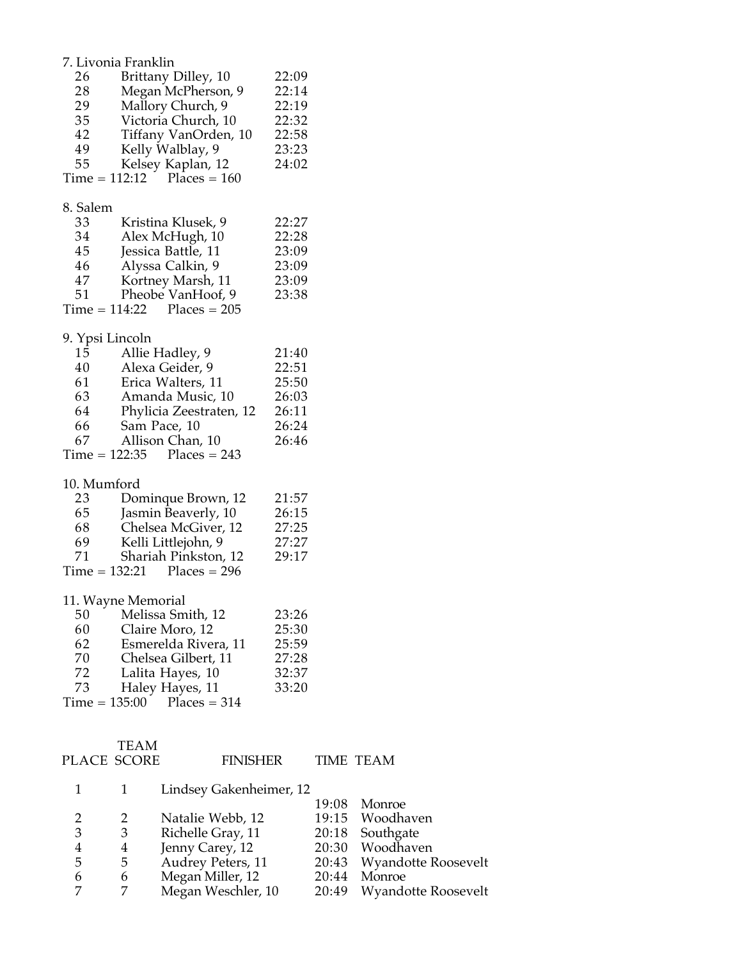|                 | 7. Livonia Franklin                                  |                 |           |
|-----------------|------------------------------------------------------|-----------------|-----------|
| 26<br>28        | Brittany Dilley, 10<br>Megan McPherson, 9            | 22:09<br>22:14  |           |
| 29              | Mallory Church, 9                                    | 22:19           |           |
| 35              | Victoria Church, 10                                  | 22:32           |           |
| 42              | Tiffany VanOrden, 10                                 | 22:58           |           |
| 49              | Kelly Walblay, 9                                     | 23:23           |           |
|                 |                                                      |                 |           |
| 55              | Kelsey Kaplan, 12<br>$Time = 112:12$ Places = 160    | 24:02           |           |
|                 |                                                      |                 |           |
| 8. Salem        |                                                      |                 |           |
| 33              | Kristina Klusek, 9                                   | 22:27           |           |
| 34              | Alex McHugh, 10                                      | 22:28           |           |
| 45              | Jessica Battle, 11                                   | 23:09           |           |
| 46              | Alyssa Calkin, 9                                     | 23:09           |           |
| 47              | Kortney Marsh, 11                                    | 23:09           |           |
| 51              | Pheobe VanHoof, 9                                    | 23:38           |           |
|                 | $Time = 114:22$ Places = 205                         |                 |           |
| 9. Ypsi Lincoln |                                                      |                 |           |
| 15              | Allie Hadley, 9                                      | 21:40           |           |
| 40              | Alexa Geider, 9                                      | 22:51           |           |
| 61              | Erica Walters, 11                                    | 25:50           |           |
| 63              | Amanda Music, 10                                     | 26:03           |           |
| 64              | Phylicia Zeestraten, 12                              | 26:11           |           |
| 66              | Sam Pace, 10                                         | 26:24           |           |
| 67              | Allison Chan, 10                                     | 26:46           |           |
|                 | $Time = 122:35$ Places = 243                         |                 |           |
|                 |                                                      |                 |           |
| 10. Mumford     |                                                      |                 |           |
| 23              | Dominque Brown, 12                                   | 21:57           |           |
| 65              | Jasmin Beaverly, 10                                  | 26:15           |           |
| 68              | Chelsea McGiver, 12                                  | 27:25           |           |
| 69              | Kelli Littlejohn, 9                                  | 27:27           |           |
| 71              | Shariah Pinkston, 12<br>$Time = 132:21$ Places = 296 | 29:17           |           |
|                 |                                                      |                 |           |
|                 | 11. Wayne Memorial                                   |                 |           |
| 50              | Melissa Smith, 12                                    | 23:26           |           |
| 60              | Claire Moro, 12                                      | 25:30           |           |
| 62              | Esmerelda Rivera, 11                                 | 25:59           |           |
| 70              | Chelsea Gilbert, 11                                  | 27:28           |           |
| 72              | Lalita Hayes, 10                                     | 32:37           |           |
| 73              | Haley Hayes, 11                                      | 33:20           |           |
| $Time = 135:00$ | $Places = 314$                                       |                 |           |
|                 |                                                      |                 |           |
|                 | <b>TEAM</b>                                          |                 |           |
|                 | PLACE SCORE                                          | <b>FINISHER</b> | TIME TEAM |

|                |   | Lindsey Gakenheimer, 12 |                           |
|----------------|---|-------------------------|---------------------------|
|                |   |                         | 19:08 Monroe              |
|                |   | Natalie Webb, 12        | 19:15 Woodhaven           |
| 3              | 3 | Richelle Gray, 11       | 20:18 Southgate           |
| $\overline{4}$ | 4 | Jenny Carey, 12         | 20:30 Woodhaven           |
| -5             | 5 | Audrey Peters, 11       | 20:43 Wyandotte Roosevelt |
| 6              | 6 | Megan Miller, 12        | 20:44 Monroe              |
|                | 7 | Megan Weschler, 10      | 20:49 Wyandotte Roosevelt |
|                |   |                         |                           |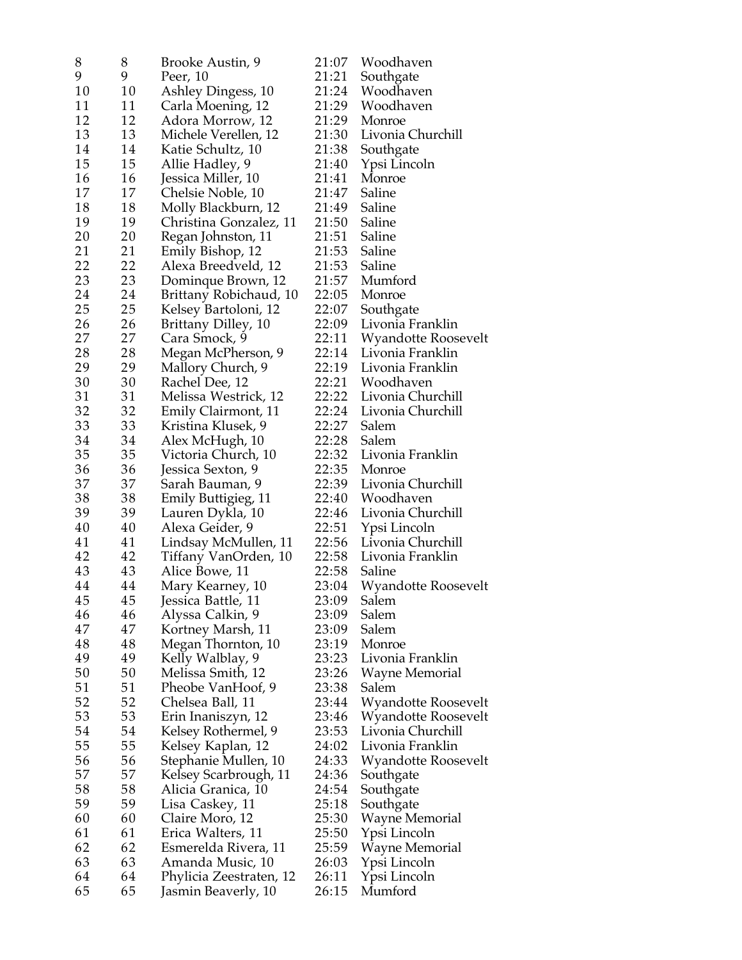| 8  | 8  | Brooke Austin, 9                        | 21:07 | Woodhaven                  |
|----|----|-----------------------------------------|-------|----------------------------|
| 9  | 9  | Peer, 10                                | 21:21 | Southgate                  |
| 10 | 10 | Ashley Dingess, 10                      | 21:24 | Woodhaven                  |
| 11 | 11 | Carla Moening, 12                       | 21:29 | Woodhaven                  |
| 12 | 12 | Adora Morrow, 12                        | 21:29 | Monroe                     |
| 13 | 13 | Michele Verellen, 12                    | 21:30 | Livonia Churchill          |
| 14 | 14 | Katie Schultz, 10                       | 21:38 | Southgate                  |
| 15 | 15 | Allie Hadley, 9                         | 21:40 | Ypsi Lincoln               |
| 16 | 16 | Jessica Miller, 10                      | 21:41 | Monroe                     |
| 17 | 17 | Chelsie Noble, 10                       | 21:47 | Saline                     |
| 18 | 18 | Molly Blackburn, 12                     | 21:49 | Saline                     |
| 19 | 19 | Christina Gonzalez, 11                  | 21:50 | Saline                     |
| 20 | 20 | Regan Johnston, 11                      | 21:51 | Saline                     |
| 21 | 21 |                                         | 21:53 | Saline                     |
| 22 | 22 | Emily Bishop, 12<br>Alexa Breedveld, 12 | 21:53 | Saline                     |
|    |    |                                         | 21:57 |                            |
| 23 | 23 | Dominque Brown, 12                      |       | Mumford                    |
| 24 | 24 | Brittany Robichaud, 10                  | 22:05 | Monroe                     |
| 25 | 25 | Kelsey Bartoloni, 12                    | 22:07 | Southgate                  |
| 26 | 26 | Brittany Dilley, 10                     | 22:09 | Livonia Franklin           |
| 27 | 27 | Cara Smock, 9                           | 22:11 | Wyandotte Roosevelt        |
| 28 | 28 | Megan McPherson, 9                      | 22:14 | Livonia Franklin           |
| 29 | 29 | Mallory Church, 9                       | 22:19 | Livonia Franklin           |
| 30 | 30 | Rachel Dee, 12                          | 22:21 | Woodhaven                  |
| 31 | 31 | Melissa Westrick, 12                    | 22:22 | Livonia Churchill          |
| 32 | 32 | Emily Clairmont, 11                     | 22:24 | Livonia Churchill          |
| 33 | 33 | Kristina Klusek, 9                      | 22:27 | Salem                      |
| 34 | 34 | Alex McHugh, 10                         | 22:28 | Salem                      |
| 35 | 35 | Victoria Church, 10                     | 22:32 | Livonia Franklin           |
| 36 | 36 | Jessica Sexton, 9                       | 22:35 | Monroe                     |
| 37 | 37 | Sarah Bauman, 9                         | 22:39 | Livonia Churchill          |
| 38 | 38 | Emily Buttigieg, 11                     | 22:40 | Woodhaven                  |
| 39 | 39 | Lauren Dykla, 10                        | 22:46 | Livonia Churchill          |
| 40 | 40 | Alexa Geider, 9                         | 22:51 | Ypsi Lincoln               |
| 41 | 41 | Lindsay McMullen, 11                    | 22:56 | Livonia Churchill          |
| 42 | 42 | Tiffany VanOrden, 10                    | 22:58 | Livonia Franklin           |
| 43 | 43 | Alice Bowe, 11                          | 22:58 | Saline                     |
| 44 | 44 | Mary Kearney, 10                        | 23:04 | <b>Wyandotte Roosevelt</b> |
| 45 | 45 | Jessica Battle, 11                      | 23:09 | Salem                      |
| 46 | 46 | Alyssa Calkin, 9                        | 23:09 | Salem                      |
| 47 | 47 | Kortney Marsh, 11                       | 23:09 | Salem                      |
| 48 | 48 | Megan Thornton, 10                      | 23:19 | Monroe                     |
| 49 | 49 | Kelly Walblay, 9                        | 23:23 | Livonia Franklin           |
| 50 | 50 | Melissa Smith, 12                       | 23:26 | Wayne Memorial             |
| 51 | 51 | Pheobe VanHoof, 9                       | 23:38 | Salem                      |
| 52 | 52 | Chelsea Ball, 11                        | 23:44 | Wyandotte Roosevelt        |
| 53 | 53 | Erin Inaniszyn, 12                      | 23:46 | Wyandotte Roosevelt        |
| 54 | 54 | Kelsey Rothermel, 9                     | 23:53 | Livonia Churchill          |
| 55 | 55 | Kelsey Kaplan, 12                       | 24:02 | Livonia Franklin           |
| 56 | 56 | Stephanie Mullen, 10                    | 24:33 | Wyandotte Roosevelt        |
| 57 | 57 | Kelsey Scarbrough, 11                   | 24:36 | Southgate                  |
| 58 | 58 | Alicia Granica, 10                      | 24:54 | Southgate                  |
| 59 | 59 | Lisa Caskey, 11                         | 25:18 | Southgate                  |
| 60 | 60 | Claire Moro, 12                         | 25:30 | Wayne Memorial             |
| 61 | 61 | Erica Walters, 11                       | 25:50 | Ypsi Lincoln               |
| 62 | 62 | Esmerelda Rivera, 11                    | 25:59 | Wayne Memorial             |
| 63 | 63 | Amanda Music, 10                        | 26:03 | Ypsi Lincoln               |
| 64 | 64 | Phylicia Zeestraten, 12                 | 26:11 | Ypsi Lincoln               |
| 65 | 65 | Jasmin Beaverly, 10                     | 26:15 | Mumford                    |
|    |    |                                         |       |                            |